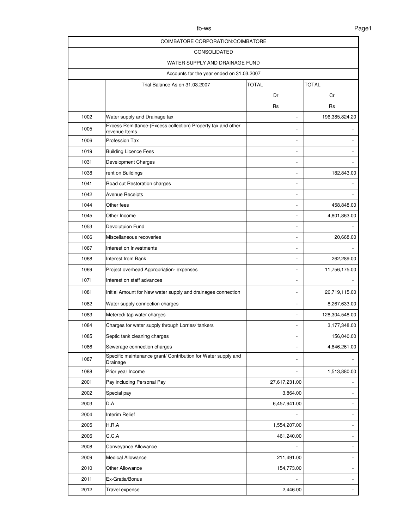| COIMBATORE CORPORATION: COIMBATORE |                                                                               |               |                |  |
|------------------------------------|-------------------------------------------------------------------------------|---------------|----------------|--|
| <b>CONSOLIDATED</b>                |                                                                               |               |                |  |
| WATER SUPPLY AND DRAINAGE FUND     |                                                                               |               |                |  |
|                                    | Accounts for the year ended on 31.03.2007                                     |               |                |  |
|                                    | Trial Balance As on 31.03.2007                                                | <b>TOTAL</b>  | TOTAL          |  |
|                                    |                                                                               | Dr            | Cr             |  |
|                                    |                                                                               | Rs            | Rs             |  |
| 1002                               | Water supply and Drainage tax                                                 |               | 196,385,824.20 |  |
| 1005                               | Excess Remittance-(Excess collection) Property tax and other<br>revenue Items |               |                |  |
| 1006                               | Profession Tax                                                                |               |                |  |
| 1019                               | <b>Building Licence Fees</b>                                                  |               |                |  |
| 1031                               | Development Charges                                                           |               |                |  |
| 1038                               | rent on Buildings                                                             |               | 182,843.00     |  |
| 1041                               | Road cut Restoration charges                                                  |               |                |  |
| 1042                               | <b>Avenue Receipts</b>                                                        |               |                |  |
| 1044                               | Other fees                                                                    |               | 458,848.00     |  |
| 1045                               | Other Income                                                                  |               | 4,801,863.00   |  |
| 1053                               | <b>Devolutuion Fund</b>                                                       |               |                |  |
| 1066                               | Miscellaneous recoveries                                                      |               | 20,668.00      |  |
| 1067                               | Interest on Investments                                                       |               |                |  |
| 1068                               | Interest from Bank                                                            |               | 262,289.00     |  |
| 1069                               | Project overhead Appropriation-expenses                                       |               | 11,756,175.00  |  |
| 1071                               | Interest on staff advances                                                    |               |                |  |
| 1081                               | Initial Amount for New water supply and drainages connection                  |               | 26,719,115.00  |  |
| 1082                               | Water supply connection charges                                               |               | 8,267,633.00   |  |
| 1083                               | Metered/ tap water charges                                                    |               | 128,304,548.00 |  |
| 1084                               | Charges for water supply through Lorries/ tankers                             |               | 3,177,348.00   |  |
| 1085                               | Septic tank cleaning charges                                                  |               | 156,040.00     |  |
| 1086                               | Sewerage connection charges                                                   |               | 4,846,261.00   |  |
| 1087                               | Specific maintenance grant/ Contribution for Water supply and<br>Drainage     |               |                |  |
| 1088                               | Prior year Income                                                             |               | 1,513,880.00   |  |
| 2001                               | Pay including Personal Pay                                                    | 27,617,231.00 |                |  |
| 2002                               | Special pay                                                                   | 3,864.00      |                |  |
| 2003                               | D.A                                                                           | 6,457,941.00  |                |  |
| 2004                               | Interim Relief                                                                |               |                |  |
| 2005                               | H.R.A                                                                         | 1,554,207.00  |                |  |
| 2006                               | C.C.A                                                                         | 461,240.00    |                |  |
| 2008                               | Conveyance Allowance                                                          |               |                |  |
| 2009                               | <b>Medical Allowance</b>                                                      | 211,491.00    |                |  |
| 2010                               | Other Allowance                                                               | 154,773.00    |                |  |
| 2011                               | Ex-Gratia/Bonus                                                               |               |                |  |
| 2012                               | Travel expense                                                                | 2,446.00      |                |  |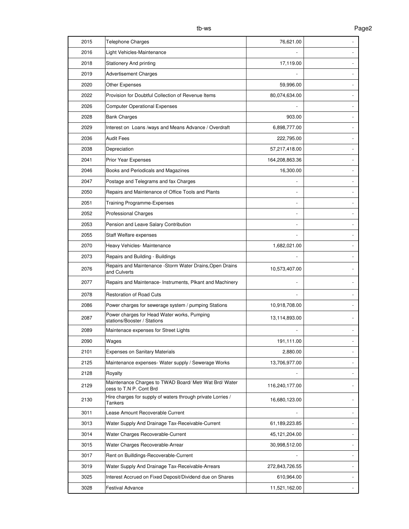| 2015 | <b>Telephone Charges</b>                                                          | 76,621.00      |  |
|------|-----------------------------------------------------------------------------------|----------------|--|
| 2016 | Light Vehicles-Maintenance                                                        |                |  |
| 2018 | <b>Stationery And printing</b>                                                    | 17,119.00      |  |
| 2019 | <b>Advertisement Charges</b>                                                      |                |  |
| 2020 | Other Expenses                                                                    | 59,996.00      |  |
| 2022 | Provision for Doubtful Collection of Revenue Items                                | 80,074,634.00  |  |
| 2026 | <b>Computer Operational Expenses</b>                                              |                |  |
| 2028 | <b>Bank Charges</b>                                                               | 903.00         |  |
| 2029 | Interest on Loans /ways and Means Advance / Overdraft                             | 6,898,777.00   |  |
| 2036 | <b>Audit Fees</b>                                                                 | 222,795.00     |  |
| 2038 | Depreciation                                                                      | 57,217,418.00  |  |
| 2041 | Prior Year Expenses                                                               | 164,208,863.36 |  |
| 2046 | Books and Periodicals and Magazines                                               | 16,300.00      |  |
| 2047 | Postage and Telegrams and fax Charges                                             |                |  |
| 2050 | Repairs and Maintenance of Office Tools and Plants                                |                |  |
| 2051 | <b>Training Programme-Expenses</b>                                                |                |  |
| 2052 | <b>Professional Charges</b>                                                       |                |  |
| 2053 | Pension and Leave Salary Contribution                                             |                |  |
| 2055 | Staff Welfare expenses                                                            |                |  |
| 2070 | Heavy Vehicles- Maintenance                                                       | 1,682,021.00   |  |
| 2073 | Repairs and Building - Buildings                                                  |                |  |
| 2076 | Repairs and Maintenance - Storm Water Drains, Open Drains<br>and Culverts         | 10,573,407.00  |  |
| 2077 | Repairs and Maintenace- Instruments, Plkant and Machinery                         |                |  |
| 2078 | <b>Restoration of Road Cuts</b>                                                   |                |  |
| 2086 | Power charges for sewerage system / pumping Stations                              | 10,918,708.00  |  |
| 2087 | Power charges for Head Water works, Pumping<br>stations/Booster / Stations        | 13,114,893.00  |  |
| 2089 | Maintenace expenses for Street Lights                                             |                |  |
| 2090 | Wages                                                                             | 191,111.00     |  |
| 2101 | <b>Expenses on Sanitary Materials</b>                                             | 2,880.00       |  |
| 2125 | Maintenance expenses- Water supply / Sewerage Works                               | 13,706,977.00  |  |
| 2128 | Royalty                                                                           |                |  |
| 2129 | Maintenance Charges to TWAD Board/ Metr Wat Brd/ Water<br>cess to T.N P. Cont Brd | 116,240,177.00 |  |
| 2130 | Hire charges for supply of waters through private Lorries /<br>Tankers            | 16,680,123.00  |  |
| 3011 | Lease Amount Recoverable Current                                                  |                |  |
| 3013 | Water Supply And Drainage Tax-Receivable-Current                                  | 61,189,223.85  |  |
| 3014 | Water Charges Recoverable-Current                                                 | 45,121,204.00  |  |
| 3015 | Water Charges Recoverable-Arrear                                                  | 30,998,512.00  |  |
| 3017 | Rent on Builldings-Recoverable-Current                                            |                |  |
| 3019 | Water Supply And Drainage Tax-Receivable-Arrears                                  | 272,843,726.55 |  |
| 3025 | Interest Accrued on Fixed Deposit/Dividend due on Shares                          | 610,964.00     |  |
| 3028 | <b>Festival Advance</b>                                                           | 11,521,162.00  |  |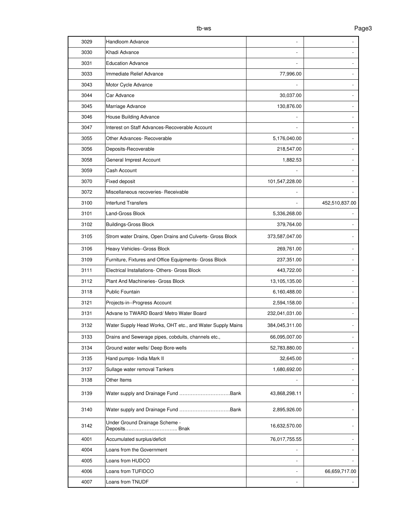| 3029 | Handloom Advance                                          |                |                |
|------|-----------------------------------------------------------|----------------|----------------|
| 3030 | Khadi Advance                                             |                |                |
| 3031 | <b>Education Advance</b>                                  |                |                |
| 3033 | Immediate Relief Advance                                  | 77,996.00      |                |
| 3043 | Motor Cycle Advance                                       |                |                |
| 3044 | Car Advance                                               | 30,037.00      |                |
| 3045 | Marriage Advance                                          | 130,876.00     |                |
| 3046 | House Building Advance                                    |                |                |
| 3047 | Interest on Staff Advances-Recoverable Account            |                |                |
| 3055 | Other Advances- Recoverable                               | 5,176,040.00   |                |
| 3056 | Deposits-Recoverable                                      | 218,547.00     |                |
| 3058 | General Imprest Account                                   | 1,882.53       |                |
| 3059 | Cash Account                                              |                |                |
| 3070 | Fixed deposit                                             | 101,547,228.00 |                |
| 3072 | Miscellaneous recoveries- Receivable                      |                |                |
| 3100 | <b>Interfund Transfers</b>                                |                | 452,510,837.00 |
| 3101 | Land-Gross Block                                          | 5,336,268.00   |                |
| 3102 | <b>Buildings-Gross Block</b>                              | 379,764.00     |                |
| 3105 | Strom water Drains, Open Drains and Culverts- Gross Block | 373,587,047.00 |                |
| 3106 | Heavy Vehicles--Gross Block                               | 269,761.00     |                |
| 3109 | Furniture, Fixtures and Office Equipments- Gross Block    | 237,351.00     |                |
| 3111 | Electrical Installations- Others- Gross Block             | 443,722.00     |                |
| 3112 | Plant And Machineries- Gross Block                        | 13,105,135.00  |                |
| 3118 | <b>Public Fountain</b>                                    | 6,160,488.00   |                |
| 3121 | Projects-in--Progress Account                             | 2,594,158.00   |                |
| 3131 | Advane to TWARD Board/ Metro Water Board                  | 232,041,031.00 |                |
| 3132 | Water Supply Head Works, OHT etc., and Water Supply Mains | 384,045,311.00 |                |
| 3133 | Drains and Sewerage pipes, cobduits, channels etc.,       | 66,095,007.00  |                |
| 3134 | Ground water wells/ Deep Bore-wells                       | 52,783,880.00  |                |
| 3135 | Hand pumps- India Mark II                                 | 32,645.00      |                |
| 3137 | Sullage water removal Tankers                             | 1,680,692.00   |                |
| 3138 | Other Items                                               |                |                |
| 3139 |                                                           | 43,868,298.11  |                |
| 3140 |                                                           | 2,895,926.00   |                |
| 3142 | Under Ground Drainage Scheme -<br>Deposits Bnak           | 16,632,570.00  |                |
| 4001 | Accumulated surplus/deficit                               | 76,017,755.55  |                |
| 4004 | Loans from the Government                                 |                |                |
| 4005 | Loans from HUDCO                                          |                |                |
| 4006 | Loans from TUFIDCO                                        |                | 66,659,717.00  |
| 4007 | Loans from TNUDF                                          |                |                |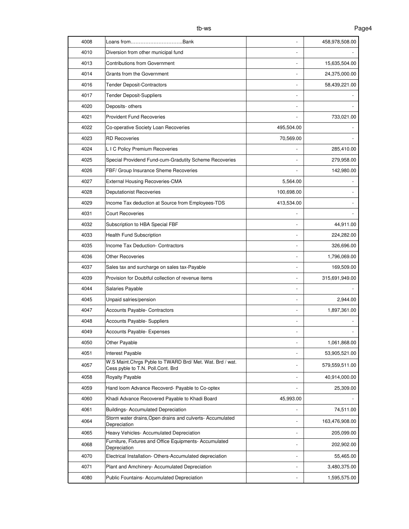| 4008 | Loans fromBank                                                                                |            | 458,978,508.00 |
|------|-----------------------------------------------------------------------------------------------|------------|----------------|
| 4010 | Diversion from other municipal fund                                                           |            |                |
| 4013 | <b>Contributions from Government</b>                                                          |            | 15,635,504.00  |
| 4014 | Grants from the Government                                                                    |            | 24,375,000.00  |
| 4016 | <b>Tender Deposit-Contractors</b>                                                             |            | 58,439,221.00  |
| 4017 | Tender Deposit-Suppliers                                                                      |            |                |
| 4020 | Deposits- others                                                                              |            |                |
| 4021 | <b>Provident Fund Recoveries</b>                                                              |            | 733,021.00     |
| 4022 | Co-operative Society Loan Recoveries                                                          | 495,504.00 |                |
| 4023 | <b>RD Recoveries</b>                                                                          | 70,569.00  |                |
| 4024 | L I C Policy Premium Recoveries                                                               |            | 285,410.00     |
| 4025 | Special Providend Fund-cum-Gradutity Scheme Recoveries                                        |            | 279,958.00     |
| 4026 | FBF/ Group Insurance Sheme Recoveries                                                         |            | 142,980.00     |
| 4027 | External Housing Recoveries-CMA                                                               | 5,564.00   |                |
| 4028 | <b>Deputationist Recoveries</b>                                                               | 100,698.00 |                |
| 4029 | Income Tax deduction at Source from Employees-TDS                                             | 413,534.00 |                |
| 4031 | <b>Court Recoveries</b>                                                                       |            |                |
| 4032 | Subscription to HBA Special FBF                                                               |            | 44,911.00      |
| 4033 | <b>Health Fund Subscription</b>                                                               |            | 224,282.00     |
| 4035 | Income Tax Deduction- Contractors                                                             |            | 326,696.00     |
| 4036 | <b>Other Recoveries</b>                                                                       |            | 1,796,069.00   |
| 4037 | Sales tax and surcharge on sales tax-Payable                                                  |            | 169,509.00     |
| 4039 | Provision for Doubtful collection of revenue items                                            |            | 315,691,949.00 |
| 4044 | Salaries Payable                                                                              |            |                |
| 4045 | Unpaid salries/pension                                                                        |            | 2,944.00       |
| 4047 | <b>Accounts Payable- Contractors</b>                                                          |            | 1,897,361.00   |
| 4048 | <b>Accounts Payable- Suppliers</b>                                                            |            |                |
| 4049 | <b>Accounts Payable- Expenses</b>                                                             |            |                |
| 4050 | Other Payable                                                                                 |            | 1,061,868.00   |
| 4051 | Interest Payable                                                                              |            | 53,905,521.00  |
| 4057 | W.S Maint.Chrgs Pyble to TWARD Brd/ Met. Wat. Brd / wat.<br>Cess pyble to T.N. Poll.Cont. Brd |            | 579,559,511.00 |
| 4058 | Royalty Payable                                                                               |            | 40,914,000.00  |
| 4059 | Hand loom Advance Recoverd- Payable to Co-optex                                               |            | 25,309.00      |
| 4060 | Khadi Advance Recovered Payable to Khadi Board                                                | 45,993.00  |                |
| 4061 | <b>Buildings- Accumulated Depreciation</b>                                                    |            | 74,511.00      |
| 4064 | Storm water drains, Open drains and culverts- Accumulated<br>Depreciation                     |            | 163,476,908.00 |
| 4065 | Heavy Vehicles- Accumulated Depreciation                                                      |            | 205,099.00     |
| 4068 | Furniture, Fixtures and Office Equipments- Accumulated<br>Depreciation                        |            | 202,902.00     |
| 4070 | Electrical Installation- Others-Accumulated depreciation                                      |            | 55,465.00      |
| 4071 | Plant and Amchinery- Accumulated Depreciation                                                 |            | 3,480,375.00   |
| 4080 | <b>Public Fountains- Accumulated Depreciation</b>                                             |            | 1,595,575.00   |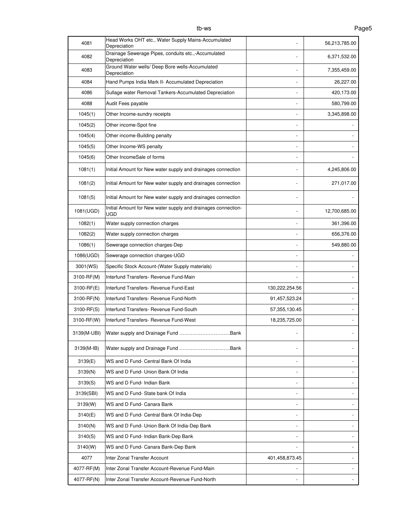| 4081        | Head Works OHT etc., Water Supply Mains-Accumulated<br>Depreciation         |                | 56,213,785.00 |
|-------------|-----------------------------------------------------------------------------|----------------|---------------|
| 4082        | Drainage Sewerage Pipes, conduits etc.,-Accumulated<br>Depreciation         |                | 6,371,532.00  |
| 4083        | Ground Water wells/ Deep Bore wells-Accumulated<br>Depreciation             |                | 7,355,459.00  |
| 4084        | Hand Pumps India Mark II- Accumulated Depreciation                          |                | 26,227.00     |
| 4086        | Sullage water Removal Tankers-Accumulated Depreciation                      |                | 420,173.00    |
| 4088        | Audit Fees payable                                                          |                | 580,799.00    |
| 1045(1)     | Other Income-sundry receipts                                                |                | 3,345,898.00  |
| 1045(2)     | Other income-Spot fine                                                      |                |               |
| 1045(4)     | Other income-Building penalty                                               |                |               |
| 1045(5)     | Other Income-WS penalty                                                     |                |               |
| 1045(6)     | Other IncomeSale of forms                                                   |                |               |
| 1081(1)     | Initial Amount for New water supply and drainages connection                |                | 4,245,806.00  |
| 1081(2)     | Initial Amount for New water supply and drainages connection                |                | 271,017.00    |
| 1081(5)     | Initial Amount for New water supply and drainages connection                |                |               |
| 1081(UGD)   | Initial Amount for New water supply and drainages connection-<br><b>UGD</b> |                | 12,700,685.00 |
| 1082(1)     | Water supply connection charges                                             |                | 361,396.00    |
| 1082(2)     | Water supply connection charges                                             |                | 656,376.00    |
| 1086(1)     | Sewerage connection charges-Dep                                             |                | 549,880.00    |
| 1086(UGD)   | Sewerage connection charges-UGD                                             |                |               |
| 3001(WS)    | Specific Stock Account-(Water Supply materials)                             |                |               |
| 3100-RF(M)  | Interfund Transfers- Revenue Fund-Main                                      |                |               |
| 3100-RF(E)  | Interfund Transfers- Revenue Fund-East                                      | 130,222,254.56 |               |
| 3100-RF(N)  | Interfund Transfers- Revenue Fund-North                                     | 91,457,523.24  |               |
| 3100-RF(S)  | Interfund Transfers- Revenue Fund-South                                     | 57,355,130.45  |               |
| 3100-RF(W)  | Interfund Transfers- Revenue Fund-West                                      | 18,235,725.00  |               |
| 3139(M-UBI) | Water supply and Drainage Fund<br>Bank                                      |                |               |
| 3139(M-IB)  |                                                                             |                |               |
| 3139(E)     | WS and D Fund- Central Bank Of India                                        | ÷,             |               |
| 3139(N)     | WS and D Fund- Union Bank Of India                                          |                |               |
| 3139(S)     | WS and D Fund- Indian Bank                                                  |                |               |
| 3139(SBI)   | WS and D Fund- State bank Of India                                          | $\overline{a}$ |               |
| 3139(W)     | WS and D Fund- Canara Bank                                                  |                |               |
| 3140(E)     | WS and D Fund- Central Bank Of India-Dep                                    |                |               |
| 3140(N)     | WS and D Fund- Union Bank Of India-Dep Bank                                 |                |               |
| 3140(S)     | WS and D Fund- Indian Bank-Dep Bank                                         |                |               |
| 3140(W)     | WS and D Fund- Canara Bank-Dep Bank                                         |                |               |
| 4077        | Inter Zonal Transfer Account                                                | 401,458,873.45 |               |
| 4077-RF(M)  | Inter Zonal Transfer Account-Revenue Fund-Main                              |                |               |
| 4077-RF(N)  | Inter Zonal Transfer Account-Revenue Fund-North                             |                |               |